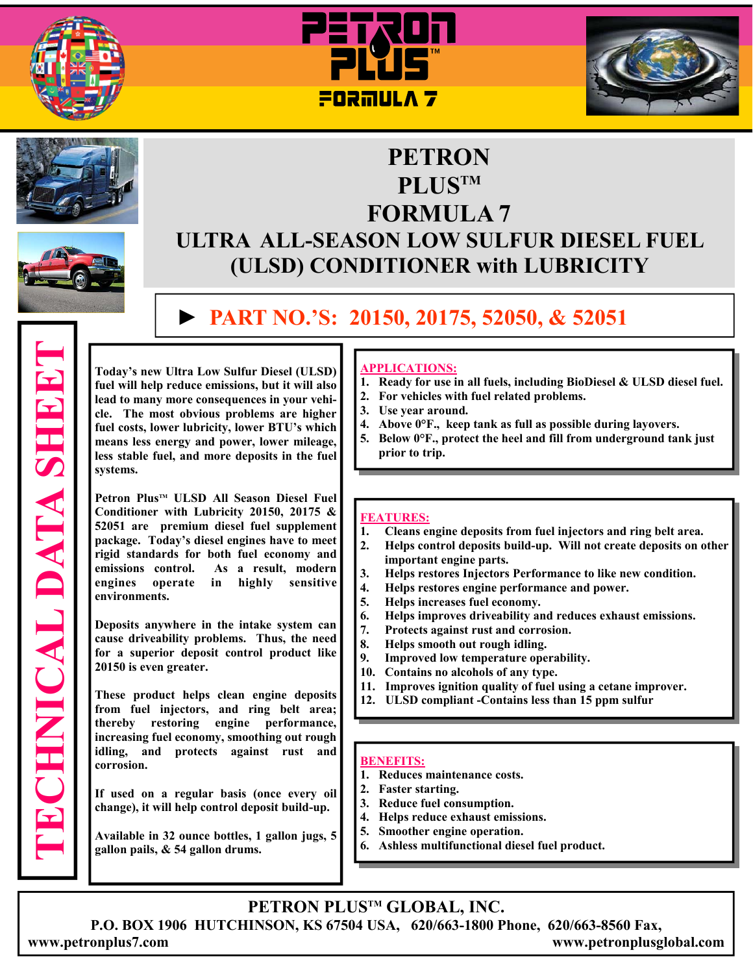









**TECHNICAL DATA SHEET** 

**ECHNICAL DATA SHEET** 

# **PLUSTM FORMULA 7 ULTRA ALL-SEASON LOW SULFUR DIESEL FUEL (ULSD) CONDITIONER with LUBRICITY**

**PETRON** 

# **► PART NO.'S: 20150, 20175, 52050, & 52051**

**Today's new Ultra Low Sulfur Diesel (ULSD) fuel will help reduce emissions, but it will also lead to many more consequences in your vehicle. The most obvious problems are higher fuel costs, lower lubricity, lower BTU's which means less energy and power, lower mileage, less stable fuel, and more deposits in the fuel systems.** 

**Petron Plus™ ULSD All Season Diesel Fuel Conditioner with Lubricity 20150, 20175 & 52051 are premium diesel fuel supplement package. Today's diesel engines have to meet rigid standards for both fuel economy and emissions control. As a result, modern engines operate in highly sensitive environments.** 

**Deposits anywhere in the intake system can cause driveability problems. Thus, the need for a superior deposit control product like 20150 is even greater.** 

**These product helps clean engine deposits from fuel injectors, and ring belt area; thereby restoring engine performance, increasing fuel economy, smoothing out rough idling, and protects against rust and corrosion.** 

**If used on a regular basis (once every oil change), it will help control deposit build-up.** 

**Available in 32 ounce bottles, 1 gallon jugs, 5 gallon pails, & 54 gallon drums.**

## **APPLICATIONS:**

- **1. Ready for use in all fuels, including BioDiesel & ULSD diesel fuel.**
- **2. For vehicles with fuel related problems.**
- **3. Use year around.**
- **4. Above 0°F., keep tank as full as possible during layovers.**
- **5. Below 0°F., protect the heel and fill from underground tank just prior to trip.**

#### **FEATURES:**

- **1. Cleans engine deposits from fuel injectors and ring belt area.**
- **2. Helps control deposits build-up. Will not create deposits on other important engine parts.**
- **3. Helps restores Injectors Performance to like new condition.**
- **4. Helps restores engine performance and power.**
- **5. Helps increases fuel economy.**
- **6. Helps improves driveability and reduces exhaust emissions.**
- **7. Protects against rust and corrosion.**
- **8. Helps smooth out rough idling.**
- **9. Improved low temperature operability.**
- **10. Contains no alcohols of any type.**
- **11. Improves ignition quality of fuel using a cetane improver.**
- **12. ULSD compliant -Contains less than 15 ppm sulfur**

#### **BENEFITS:**

- **1. Reduces maintenance costs.**
- **2. Faster starting.**
- **3. Reduce fuel consumption.**
- **4. Helps reduce exhaust emissions.**
- **5. Smoother engine operation.**
- **6. Ashless multifunctional diesel fuel product.**

**PETRON PLUSTM GLOBAL, INC.** 

**P.O. BOX 1906 HUTCHINSON, KS 67504 USA, 620/663-1800 Phone, 620/663-8560 Fax,** 

**www.petronplus7.com www.petronplusglobal.com**